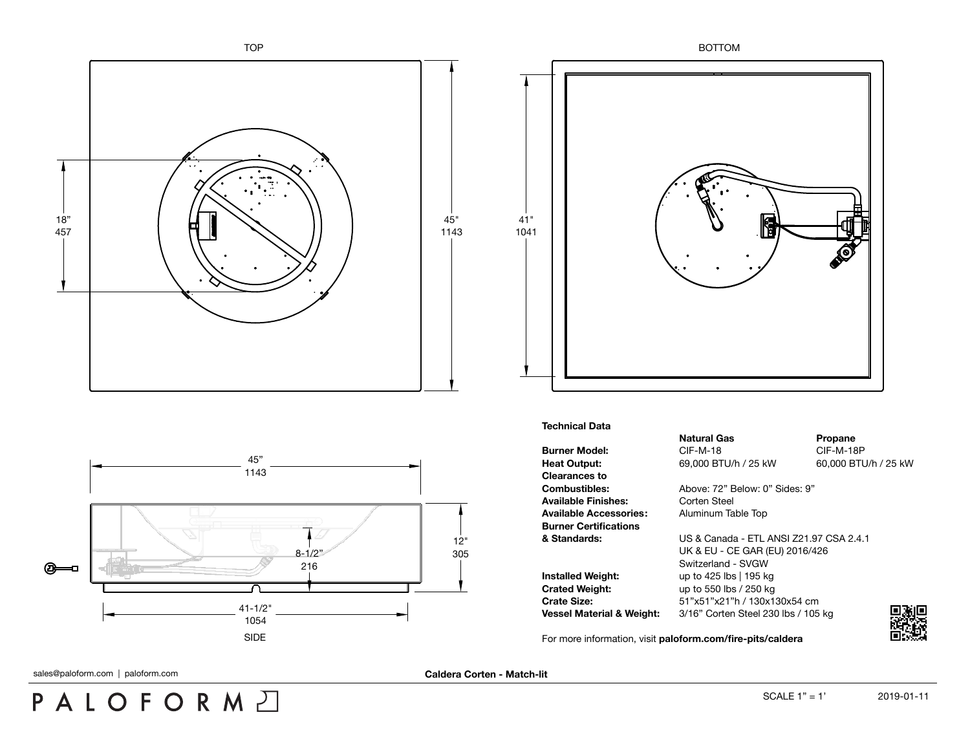





## **Technical Data**

**Burner Model:** CIF-M-18 CIF-M-18P **Heat Output:** 69,000 BTU/h / 25 kW 60,000 BTU/h / 25 kW **Clearances to** Available Finishes: Corten Steel **Available Accessories:** Aluminum Table Top **Burner Certifications**

**Natural Gas Propane** 

**Combustibles:** Above: 72" Below: 0" Sides: 9"

**& Standards:** US & Canada - ETL ANSI Z21.97 CSA 2.4.1 UK & EU - CE GAR (EU) 2016/426 Switzerland - SVGW **Installed Weight:** up to 425 lbs | 195 kg **Crated Weight:** up to 550 lbs / 250 kg **Crate Size:** 51"x51"x21"h / 130x130x54 cm **Vessel Material & Weight:** 3/16" Corten Steel 230 lbs / 105 kg

For more information, visit **[paloform.com/fire-pits/caldera](http://paloform.com/fire-pits/caldera)**



PALOFORMA

sales@paloform.com | paloform.com **Caldera Corten - Match-lit**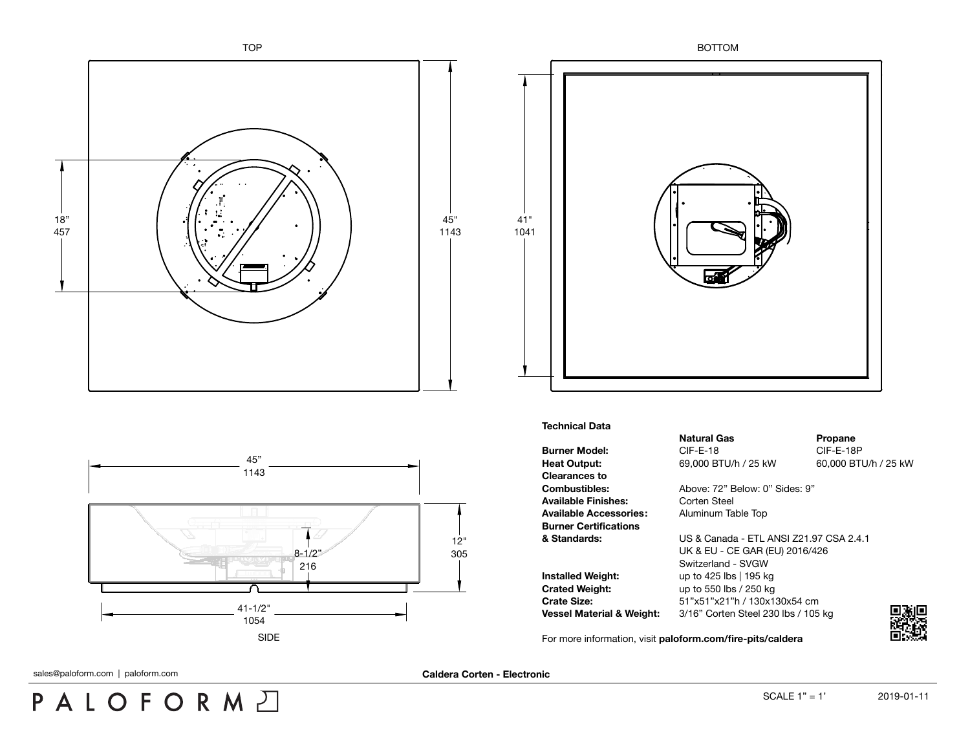





## **Technical Data**

**Burner Model:** CIF-E-18 CIF-E-18 CIF-E-18P **Heat Output:** 69,000 BTU/h / 25 kW 60,000 BTU/h / 25 kW **Clearances to** Available Finishes: Corten Steel **Available Accessories:** Aluminum Table Top **Burner Certifications**

**Natural Gas Propane** 

**Combustibles:** Above: 72" Below: 0" Sides: 9"

**& Standards:** US & Canada - ETL ANSI Z21.97 CSA 2.4.1 UK & EU - CE GAR (EU) 2016/426 Switzerland - SVGW **Installed Weight:** up to 425 lbs | 195 kg **Crated Weight:** up to 550 lbs / 250 kg **Crate Size:** 51"x51"x21"h / 130x130x54 cm **Vessel Material & Weight:** 3/16" Corten Steel 230 lbs / 105 kg

For more information, visit **[paloform.com/fire-pits/caldera](http://paloform.com/fire-pits/caldera)**



PALOFORMA

sales@paloform.com | paloform.com **Caldera Corten - Electronic**